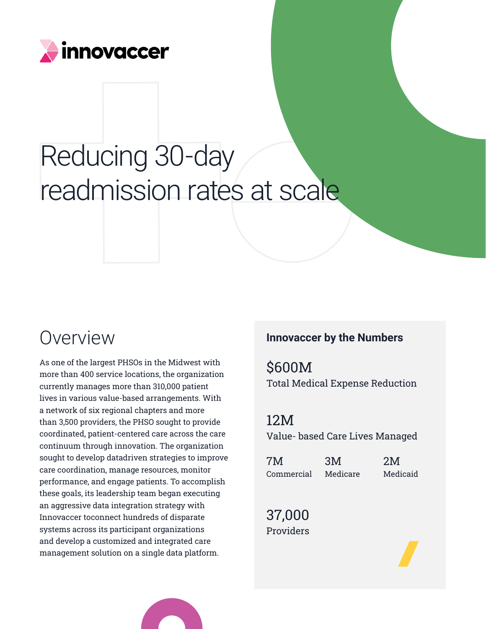

# Reducing 30-day readmission rates at scale

As one of the largest PHSOs in the Midwest with more than 400 service locations, the organization currently manages more than 310,000 patient lives in various value-based arrangements. With a network of six regional chapters and more than 3,500 providers, the PHSO sought to provide coordinated, patient-centered care across the care continuum through innovation. The organization sought to develop datadriven strategies to improve care coordination, manage resources, monitor performance, and engage patients. To accomplish these goals, its leadership team began executing an aggressive data integration strategy with Innovaccer toconnect hundreds of disparate systems across its participant organizations and develop a customized and integrated care management solution on a single data platform.

# **OVETVIEW Innovaccer by the Numbers**

\$600M Total Medical Expense Reduction

12M Value- based Care Lives Managed

| 7M         | 3M       | 2M       |
|------------|----------|----------|
| Commercial | Medicare | Medicaid |

37,000 Providers

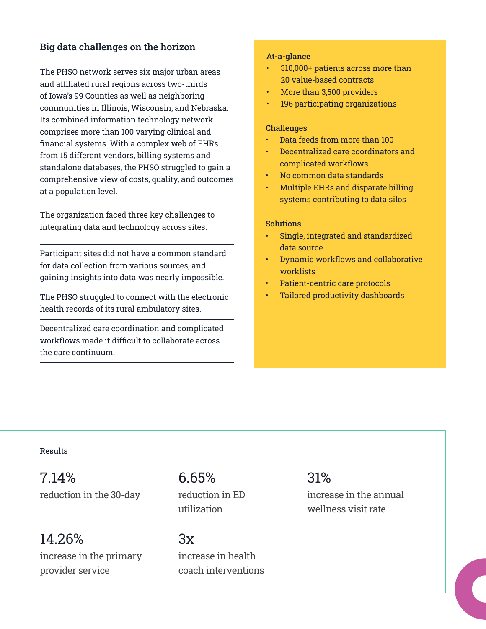## Big data challenges on the horizon

The PHSO network serves six major urban areas and affiliated rural regions across two-thirds of Iowa's 99 Counties as well as neighboring communities in Illinois, Wisconsin, and Nebraska. Its combined information technology network comprises more than 100 varying clinical and financial systems. With a complex web of EHRs from 15 different vendors, billing systems and standalone databases, the PHSO struggled to gain a comprehensive view of costs, quality, and outcomes at a population level.

The organization faced three key challenges to integrating data and technology across sites:

Participant sites did not have a common standard for data collection from various sources, and gaining insights into data was nearly impossible.

The PHSO struggled to connect with the electronic health records of its rural ambulatory sites.

Decentralized care coordination and complicated workflows made it difficult to collaborate across the care continuum.

#### At-a-glance

- 310,000+ patients across more than 20 value-based contracts
- More than 3,500 providers
- 196 participating organizations

#### **Challenges**

- Data feeds from more than 100
- Decentralized care coordinators and complicated workflows
- No common data standards
- Multiple EHRs and disparate billing systems contributing to data silos

#### **Solutions**

- Single, integrated and standardized data source
- Dynamic workflows and collaborative worklists
- Patient-centric care protocols
- Tailored productivity dashboards

#### Results

7.14% 31% 6.65% reduction in the 30-day reduction in ED increase in the annual

14.26% increase in the primary provider service

reduction in ED utilization

 $3x$ increase in health coach interventions

wellness visit rate